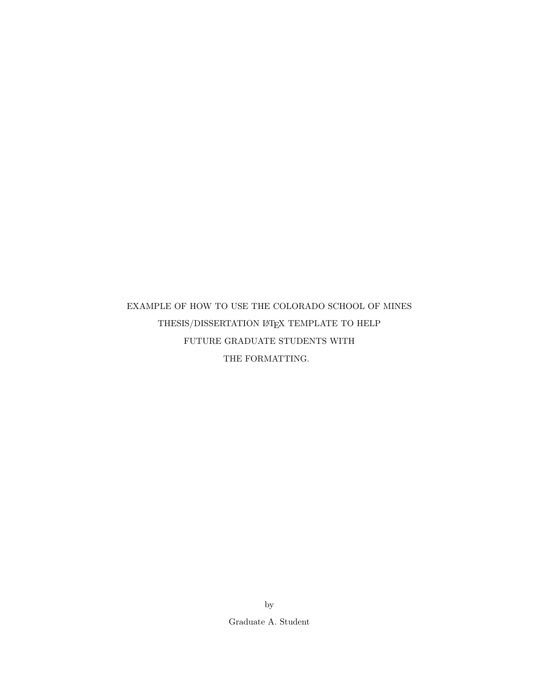# EXAMPLE OF HOW TO USE THE COLORADO SCHOOL OF MINES THESIS/DISSERTATION  $\mathbb{B}\mathrm{T}\mathrm{E}\mathrm{X}$  TEMPLATE TO HELP FUTURE GRADUATE STUDENTS WITH THE FORMATTING.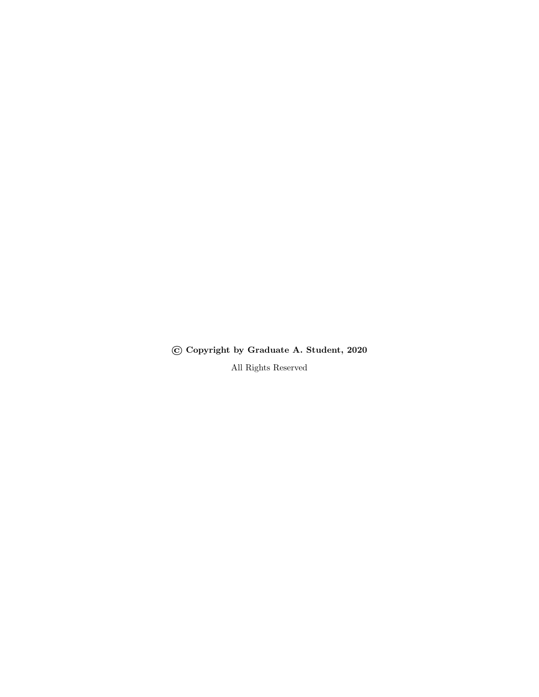© Copyright by Graduate A. Student, 2020

All Rights Reserved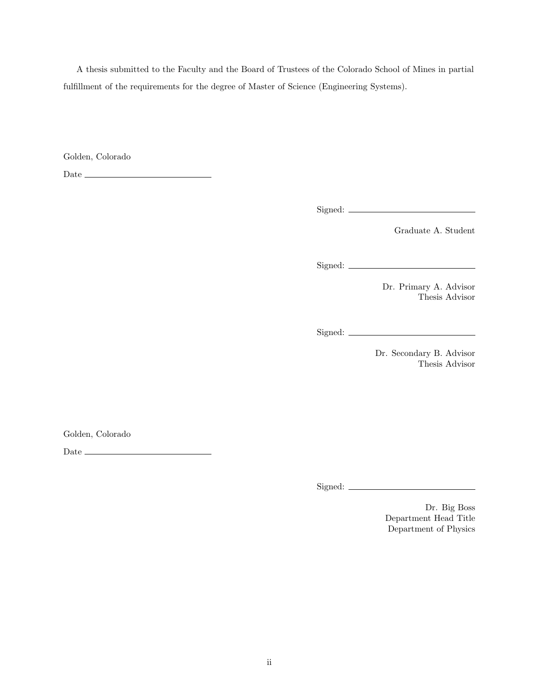A thesis submitted to the Faculty and the Board of Trustees of the Colorado School of Mines in partial fulfillment of the requirements for the degree of Master of Science (Engineering Systems).

Golden, Colorado

 ${\rm Date} \begin{tabular}{l} \end{tabular}$ 

Signed:

Graduate A. Student

Signed:

Dr. Primary A. Advisor Thesis Advisor

Signed:

Dr. Secondary B. Advisor Thesis Advisor

Golden, Colorado

 ${\it Date} \begin{tabular}{l} \hline \rule{0pt}{3ex} \rule{0pt}{3ex} \rule{0pt}{3ex} \rule{0pt}{3ex} \rule{0pt}{3ex} \rule{0pt}{3ex} \rule{0pt}{3ex} \rule{0pt}{3ex} \rule{0pt}{3ex} \rule{0pt}{3ex} \rule{0pt}{3ex} \rule{0pt}{3ex} \rule{0pt}{3ex} \rule{0pt}{3ex} \rule{0pt}{3ex} \rule{0pt}{3ex} \rule{0pt}{3ex} \rule{0pt}{3ex} \rule{0pt}{3ex} \rule{0pt}{3ex} \rule{0pt}{3ex} \rule{0pt}{3ex} \rule{0pt}{3$ 

Signed:

Dr. Big Boss Department Head Title Department of Physics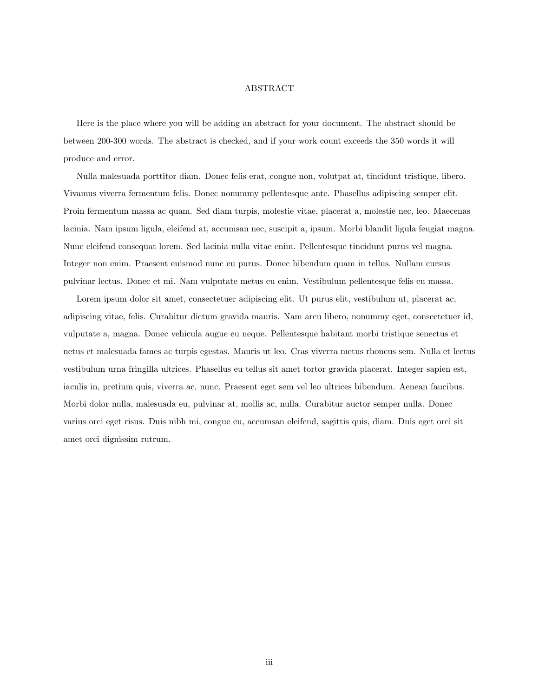#### ABSTRACT

<span id="page-3-0"></span>Here is the place where you will be adding an abstract for your document. The abstract should be between 200-300 words. The abstract is checked, and if your work count exceeds the 350 words it will produce and error.

Nulla malesuada porttitor diam. Donec felis erat, congue non, volutpat at, tincidunt tristique, libero. Vivamus viverra fermentum felis. Donec nonummy pellentesque ante. Phasellus adipiscing semper elit. Proin fermentum massa ac quam. Sed diam turpis, molestie vitae, placerat a, molestie nec, leo. Maecenas lacinia. Nam ipsum ligula, eleifend at, accumsan nec, suscipit a, ipsum. Morbi blandit ligula feugiat magna. Nunc eleifend consequat lorem. Sed lacinia nulla vitae enim. Pellentesque tincidunt purus vel magna. Integer non enim. Praesent euismod nunc eu purus. Donec bibendum quam in tellus. Nullam cursus pulvinar lectus. Donec et mi. Nam vulputate metus eu enim. Vestibulum pellentesque felis eu massa.

Lorem ipsum dolor sit amet, consectetuer adipiscing elit. Ut purus elit, vestibulum ut, placerat ac, adipiscing vitae, felis. Curabitur dictum gravida mauris. Nam arcu libero, nonummy eget, consectetuer id, vulputate a, magna. Donec vehicula augue eu neque. Pellentesque habitant morbi tristique senectus et netus et malesuada fames ac turpis egestas. Mauris ut leo. Cras viverra metus rhoncus sem. Nulla et lectus vestibulum urna fringilla ultrices. Phasellus eu tellus sit amet tortor gravida placerat. Integer sapien est, iaculis in, pretium quis, viverra ac, nunc. Praesent eget sem vel leo ultrices bibendum. Aenean faucibus. Morbi dolor nulla, malesuada eu, pulvinar at, mollis ac, nulla. Curabitur auctor semper nulla. Donec varius orci eget risus. Duis nibh mi, congue eu, accumsan eleifend, sagittis quis, diam. Duis eget orci sit amet orci dignissim rutrum.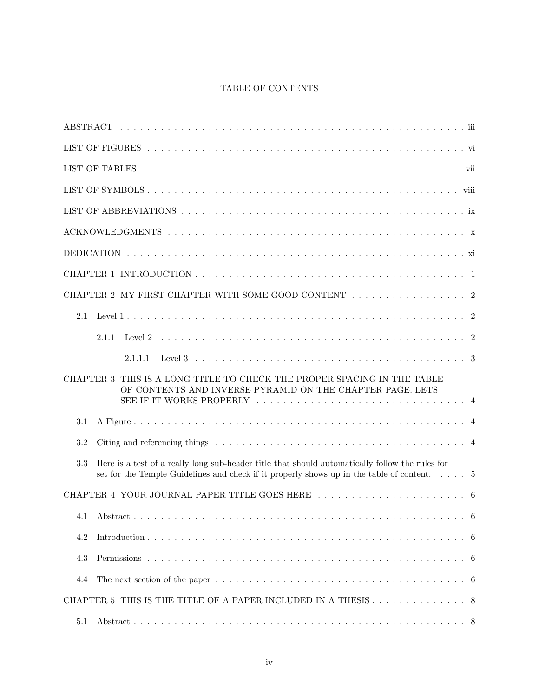# TABLE OF CONTENTS

|                  | CHAPTER 2 MY FIRST CHAPTER WITH SOME GOOD CONTENT $\ldots \ldots \ldots \ldots \ldots \ldots$                                                                                                         |  |
|------------------|-------------------------------------------------------------------------------------------------------------------------------------------------------------------------------------------------------|--|
| 2.1              |                                                                                                                                                                                                       |  |
|                  | 2.1.1                                                                                                                                                                                                 |  |
|                  | 2.1.1.1                                                                                                                                                                                               |  |
| <b>CHAPTER 3</b> | THIS IS A LONG TITLE TO CHECK THE PROPER SPACING IN THE TABLE<br>OF CONTENTS AND INVERSE PYRAMID ON THE CHAPTER PAGE. LETS                                                                            |  |
| 3.1              |                                                                                                                                                                                                       |  |
| $3.2\,$          |                                                                                                                                                                                                       |  |
| 3.3              | Here is a test of a really long sub-header title that should automatically follow the rules for<br>set for the Temple Guidelines and check if it properly shows up in the table of content. $\dots$ 5 |  |
|                  |                                                                                                                                                                                                       |  |
|                  |                                                                                                                                                                                                       |  |
| 4.2              |                                                                                                                                                                                                       |  |
| 4.3              |                                                                                                                                                                                                       |  |
| 4.4              |                                                                                                                                                                                                       |  |
|                  | CHAPTER 5 THIS IS THE TITLE OF A PAPER INCLUDED IN A THESIS 8                                                                                                                                         |  |
| 5.1              |                                                                                                                                                                                                       |  |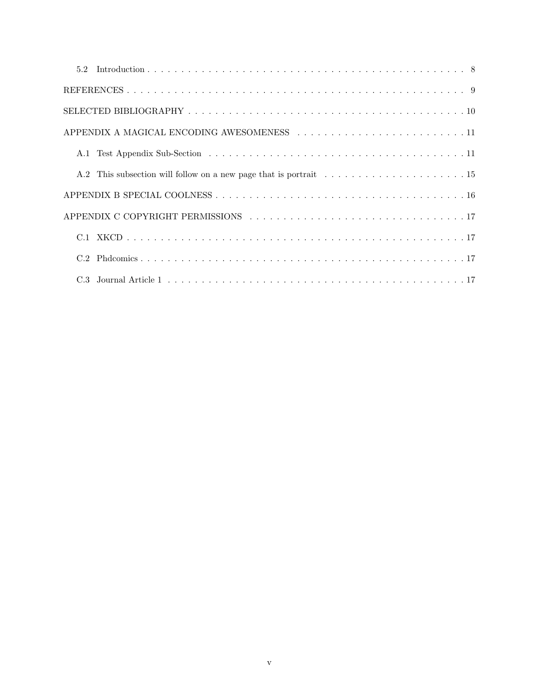| APPENDIX A MAGICAL ENCODING AWESOMENESS 11 |
|--------------------------------------------|
|                                            |
|                                            |
|                                            |
|                                            |
|                                            |
|                                            |
|                                            |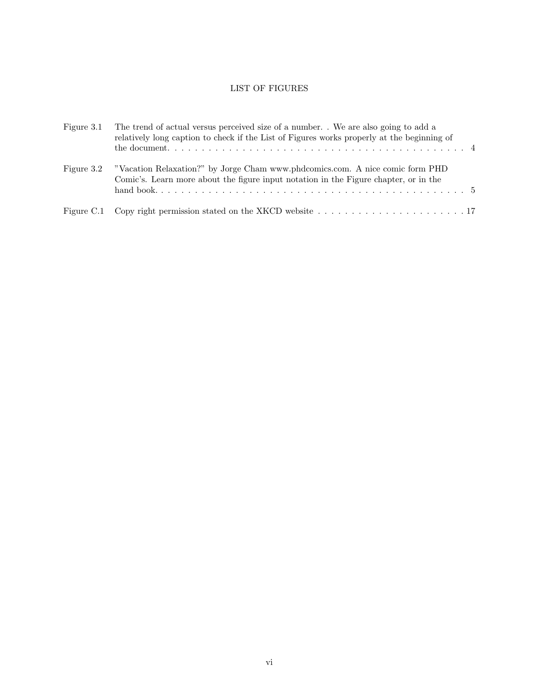# LIST OF FIGURES

<span id="page-6-0"></span>

| Figure 3.1 | The trend of actual versus perceived size of a number. We are also going to add a<br>relatively long caption to check if the List of Figures works properly at the beginning of |
|------------|---------------------------------------------------------------------------------------------------------------------------------------------------------------------------------|
| Figure 3.2 | "Vacation Relaxation?" by Jorge Cham www.phdcomics.com. A nice comic form PHD<br>Comic's. Learn more about the figure input notation in the Figure chapter, or in the           |
|            | Figure C.1 Copy right permission stated on the XKCD website $\dots \dots \dots \dots \dots \dots \dots \dots \dots \dots \dots$                                                 |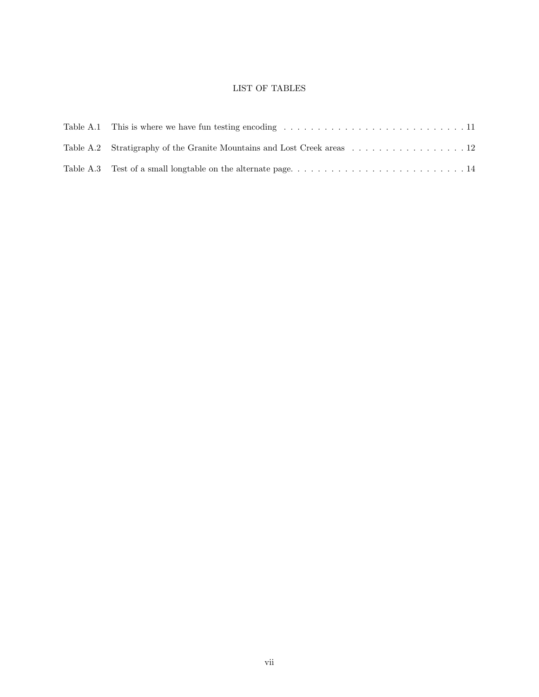# LIST OF TABLES

<span id="page-7-0"></span>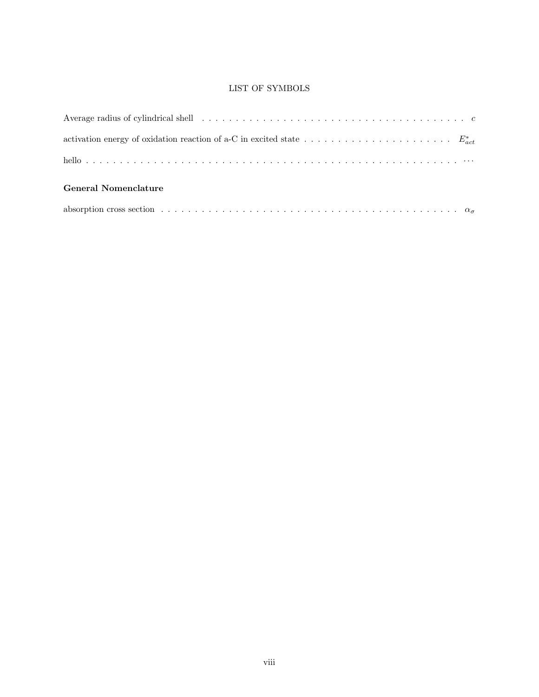# LIST OF SYMBOLS

<span id="page-8-0"></span>

| Average radius of cylindrical shell $\ldots \ldots \ldots \ldots \ldots \ldots \ldots \ldots \ldots \ldots \ldots \ldots$ |
|---------------------------------------------------------------------------------------------------------------------------|
|                                                                                                                           |
|                                                                                                                           |
| <b>General Nomenclature</b>                                                                                               |
|                                                                                                                           |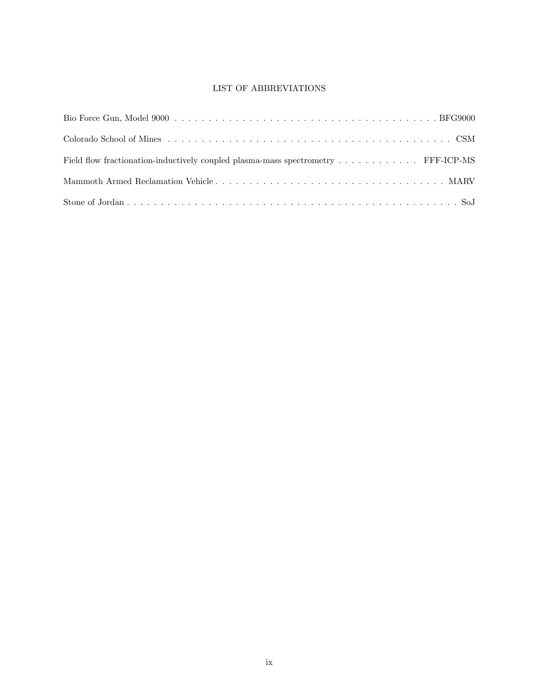# LIST OF ABBREVIATIONS

<span id="page-9-0"></span>

| Field flow fractionation-inductively coupled plasma-mass spectrometry FFF-ICP-MS |  |
|----------------------------------------------------------------------------------|--|
|                                                                                  |  |
|                                                                                  |  |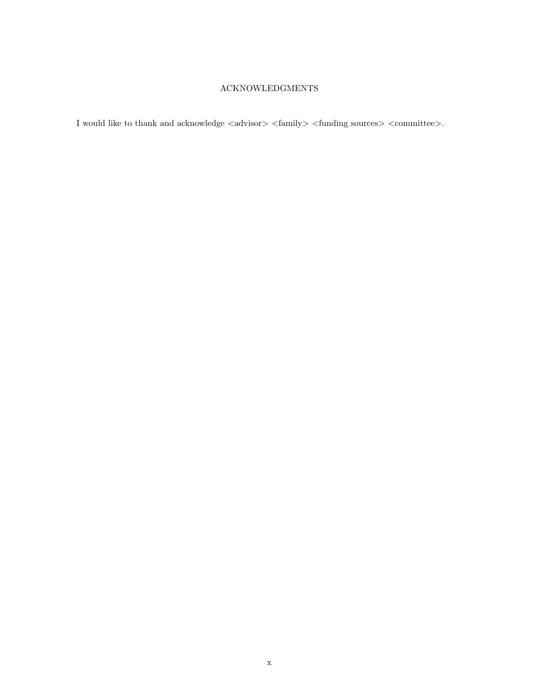# ACKNOWLEDGMENTS

<span id="page-10-0"></span>I would like to thank and acknowledge  $\langle$  advisor $\rangle$   $\langle$  family $\rangle$   $\langle$  funding sources $\rangle$   $\langle$  committee $\rangle.$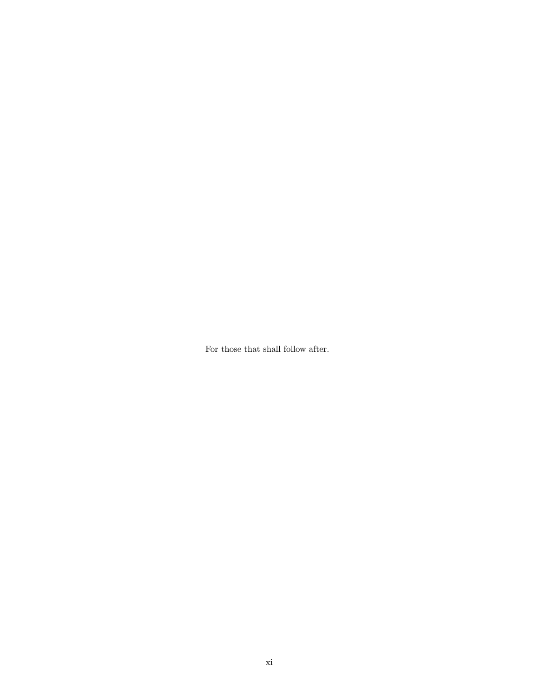<span id="page-11-0"></span>For those that shall follow after.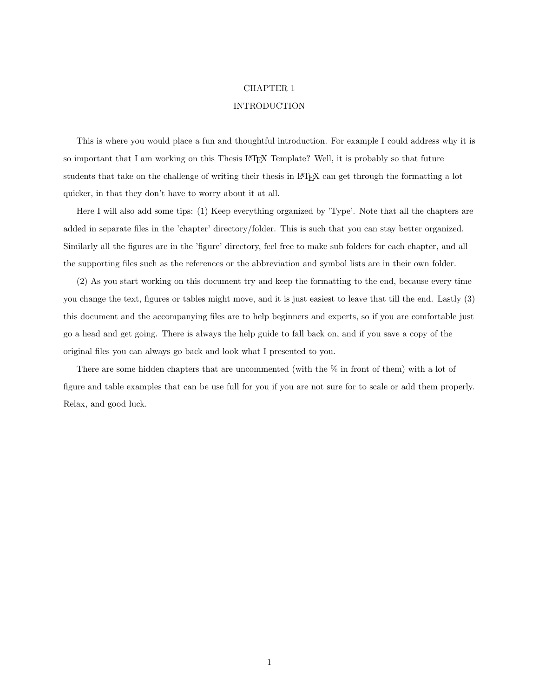#### CHAPTER 1

### INTRODUCTION

<span id="page-12-0"></span>This is where you would place a fun and thoughtful introduction. For example I could address why it is so important that I am working on this Thesis LAT<sub>EX</sub> Template? Well, it is probably so that future students that take on the challenge of writing their thesis in LATEX can get through the formatting a lot quicker, in that they don't have to worry about it at all.

Here I will also add some tips: (1) Keep everything organized by 'Type'. Note that all the chapters are added in separate files in the 'chapter' directory/folder. This is such that you can stay better organized. Similarly all the figures are in the 'figure' directory, feel free to make sub folders for each chapter, and all the supporting files such as the references or the abbreviation and symbol lists are in their own folder.

(2) As you start working on this document try and keep the formatting to the end, because every time you change the text, figures or tables might move, and it is just easiest to leave that till the end. Lastly (3) this document and the accompanying files are to help beginners and experts, so if you are comfortable just go a head and get going. There is always the help guide to fall back on, and if you save a copy of the original files you can always go back and look what I presented to you.

There are some hidden chapters that are uncommented (with the % in front of them) with a lot of figure and table examples that can be use full for you if you are not sure for to scale or add them properly. Relax, and good luck.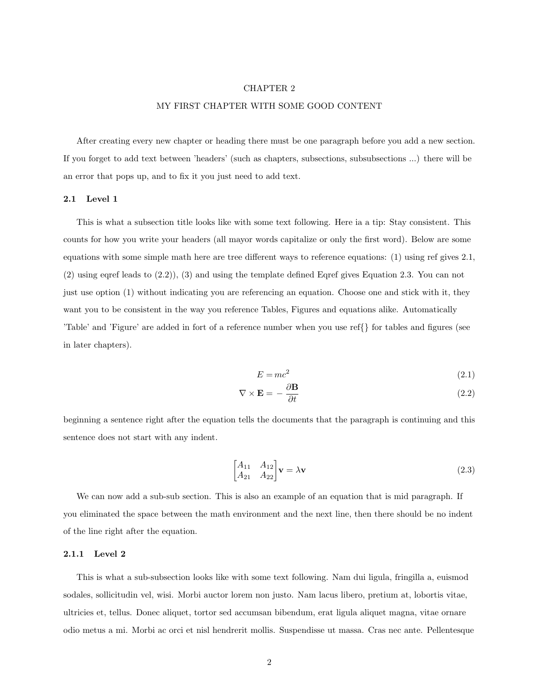#### CHAPTER 2

#### MY FIRST CHAPTER WITH SOME GOOD CONTENT

<span id="page-13-0"></span>After creating every new chapter or heading there must be one paragraph before you add a new section. If you forget to add text between 'headers' (such as chapters, subsections, subsubsections ...) there will be an error that pops up, and to fix it you just need to add text.

#### <span id="page-13-1"></span>2.1 Level 1

This is what a subsection title looks like with some text following. Here ia a tip: Stay consistent. This counts for how you write your headers (all mayor words capitalize or only the first word). Below are some equations with some simple math here are tree different ways to reference equations: (1) using ref gives [2.1,](#page-13-3) (2) using eqref leads to [\(2.2\)](#page-13-4)), (3) and using the template defined Eqref gives Equation [2.3.](#page-13-5) You can not just use option (1) without indicating you are referencing an equation. Choose one and stick with it, they want you to be consistent in the way you reference Tables, Figures and equations alike. Automatically 'Table' and 'Figure' are added in fort of a reference number when you use ref{} for tables and figures (see in later chapters).

<span id="page-13-5"></span><span id="page-13-4"></span><span id="page-13-3"></span>
$$
E = mc^2 \tag{2.1}
$$

$$
\nabla \times \mathbf{E} = -\frac{\partial \mathbf{B}}{\partial t}
$$
 (2.2)

beginning a sentence right after the equation tells the documents that the paragraph is continuing and this sentence does not start with any indent.

$$
\begin{bmatrix} A_{11} & A_{12} \\ A_{21} & A_{22} \end{bmatrix} \mathbf{v} = \lambda \mathbf{v} \tag{2.3}
$$

We can now add a sub-sub section. This is also an example of an equation that is mid paragraph. If you eliminated the space between the math environment and the next line, then there should be no indent of the line right after the equation.

#### <span id="page-13-2"></span>2.1.1 Level 2

This is what a sub-subsection looks like with some text following. Nam dui ligula, fringilla a, euismod sodales, sollicitudin vel, wisi. Morbi auctor lorem non justo. Nam lacus libero, pretium at, lobortis vitae, ultricies et, tellus. Donec aliquet, tortor sed accumsan bibendum, erat ligula aliquet magna, vitae ornare odio metus a mi. Morbi ac orci et nisl hendrerit mollis. Suspendisse ut massa. Cras nec ante. Pellentesque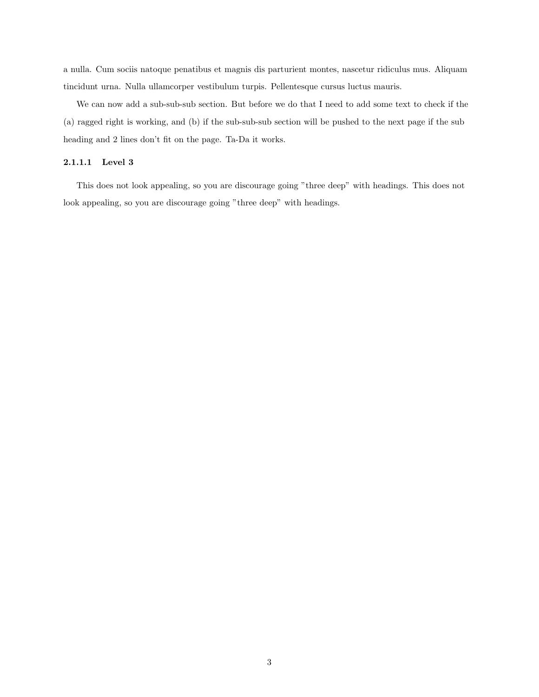a nulla. Cum sociis natoque penatibus et magnis dis parturient montes, nascetur ridiculus mus. Aliquam tincidunt urna. Nulla ullamcorper vestibulum turpis. Pellentesque cursus luctus mauris.

We can now add a sub-sub-sub section. But before we do that I need to add some text to check if the (a) ragged right is working, and (b) if the sub-sub-sub section will be pushed to the next page if the sub heading and 2 lines don't fit on the page. Ta-Da it works.

#### <span id="page-14-0"></span>2.1.1.1 Level 3

This does not look appealing, so you are discourage going "three deep" with headings. This does not look appealing, so you are discourage going "three deep" with headings.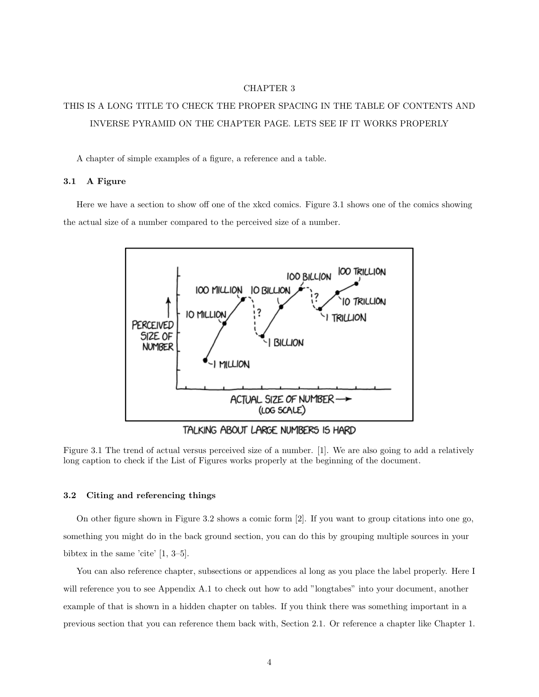#### CHAPTER 3

# <span id="page-15-0"></span>THIS IS A LONG TITLE TO CHECK THE PROPER SPACING IN THE TABLE OF CONTENTS AND INVERSE PYRAMID ON THE CHAPTER PAGE. LETS SEE IF IT WORKS PROPERLY

A chapter of simple examples of a figure, a reference and a table.

#### <span id="page-15-1"></span>3.1 A Figure

<span id="page-15-3"></span>Here we have a section to show off one of the xkcd comics. [Figure 3.1](#page-15-3) shows one of the comics showing the actual size of a number compared to the perceived size of a number.



TALKING ABOUT LARGE NUMBERS IS HARD

Figure 3.1 The trend of actual versus perceived size of a number. [\[1\]](#page-20-1). We are also going to add a relatively long caption to check if the List of Figures works properly at the beginning of the document.

#### <span id="page-15-2"></span>3.2 Citing and referencing things

On other figure shown in [Figure 3.2](#page-16-1) shows a comic form [\[2\]](#page-20-2). If you want to group citations into one go, something you might do in the back ground section, you can do this by grouping multiple sources in your bibtex in the same 'cite' [\[1,](#page-20-1) [3–](#page-20-3)[5\]](#page-20-4).

You can also reference chapter, subsections or appendices al long as you place the label properly. Here I will reference you to see Appendix [A.1](#page-22-1) to check out how to add "longtabes" into your document, another example of that is shown in a hidden chapter on tables. If you think there was something important in a previous section that you can reference them back with, Section [2.1.](#page-13-1) Or reference a chapter like Chapter [1.](#page-12-0)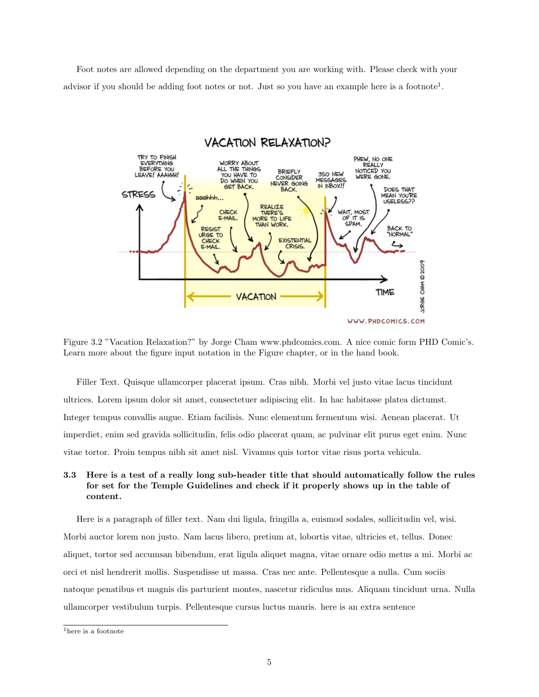<span id="page-16-1"></span>Foot notes are allowed depending on the department you are working with. Please check with your advisor if you should be adding foot notes or not. Just so you have an example here is a footnote<sup>[1](#page-16-2)</sup>.



Figure 3.2 "Vacation Relaxation?" by Jorge Cham www.phdcomics.com. A nice comic form PHD Comic's. Learn more about the figure input notation in the Figure chapter, or in the hand book.

Filler Text. Quisque ullamcorper placerat ipsum. Cras nibh. Morbi vel justo vitae lacus tincidunt ultrices. Lorem ipsum dolor sit amet, consectetuer adipiscing elit. In hac habitasse platea dictumst. Integer tempus convallis augue. Etiam facilisis. Nunc elementum fermentum wisi. Aenean placerat. Ut imperdiet, enim sed gravida sollicitudin, felis odio placerat quam, ac pulvinar elit purus eget enim. Nunc vitae tortor. Proin tempus nibh sit amet nisl. Vivamus quis tortor vitae risus porta vehicula.

### <span id="page-16-0"></span>3.3 Here is a test of a really long sub-header title that should automatically follow the rules for set for the Temple Guidelines and check if it properly shows up in the table of content.

Here is a paragraph of filler text. Nam dui ligula, fringilla a, euismod sodales, sollicitudin vel, wisi. Morbi auctor lorem non justo. Nam lacus libero, pretium at, lobortis vitae, ultricies et, tellus. Donec aliquet, tortor sed accumsan bibendum, erat ligula aliquet magna, vitae ornare odio metus a mi. Morbi ac orci et nisl hendrerit mollis. Suspendisse ut massa. Cras nec ante. Pellentesque a nulla. Cum sociis natoque penatibus et magnis dis parturient montes, nascetur ridiculus mus. Aliquam tincidunt urna. Nulla ullamcorper vestibulum turpis. Pellentesque cursus luctus mauris. here is an extra sentence

<span id="page-16-2"></span> $^{\rm 1}$  here is a footnote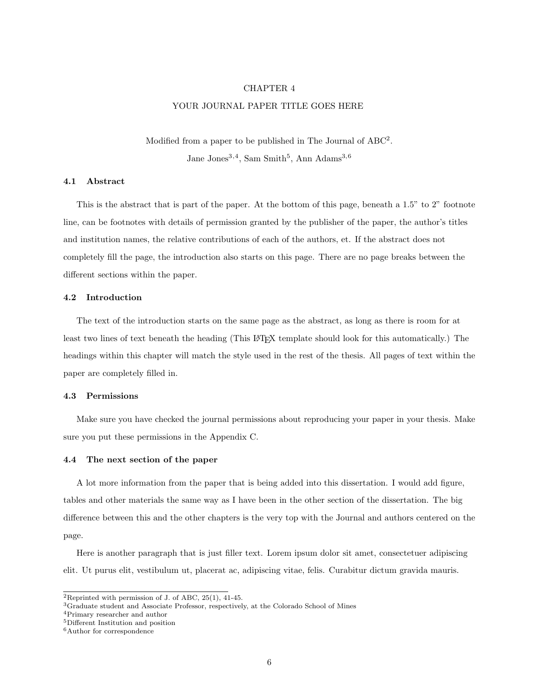#### CHAPTER 4

#### YOUR JOURNAL PAPER TITLE GOES HERE

Modified from a paper to be published in The Journal of  $ABC^2$  $ABC^2$ . Jane Jones<sup>[3](#page-17-6),[4](#page-17-7)</sup>, Sam Smith<sup>[5](#page-17-8)</sup>, Ann Adams<sup>3,[6](#page-17-9)</sup>

#### <span id="page-17-1"></span><span id="page-17-0"></span>4.1 Abstract

This is the abstract that is part of the paper. At the bottom of this page, beneath a 1.5" to 2" footnote line, can be footnotes with details of permission granted by the publisher of the paper, the author's titles and institution names, the relative contributions of each of the authors, et. If the abstract does not completely fill the page, the introduction also starts on this page. There are no page breaks between the different sections within the paper.

#### <span id="page-17-2"></span>4.2 Introduction

The text of the introduction starts on the same page as the abstract, as long as there is room for at least two lines of text beneath the heading (This L<sup>AT</sup>EX template should look for this automatically.) The headings within this chapter will match the style used in the rest of the thesis. All pages of text within the paper are completely filled in.

#### <span id="page-17-3"></span>4.3 Permissions

Make sure you have checked the journal permissions about reproducing your paper in your thesis. Make sure you put these permissions in the Appendix [C.](#page-28-0)

#### <span id="page-17-4"></span>4.4 The next section of the paper

A lot more information from the paper that is being added into this dissertation. I would add figure, tables and other materials the same way as I have been in the other section of the dissertation. The big difference between this and the other chapters is the very top with the Journal and authors centered on the page.

Here is another paragraph that is just filler text. Lorem ipsum dolor sit amet, consectetuer adipiscing elit. Ut purus elit, vestibulum ut, placerat ac, adipiscing vitae, felis. Curabitur dictum gravida mauris.

<span id="page-17-5"></span><sup>&</sup>lt;sup>2</sup>Reprinted with permission of J. of ABC,  $25(1)$ ,  $41-45$ .

<span id="page-17-6"></span><sup>3</sup>Graduate student and Associate Professor, respectively, at the Colorado School of Mines

<span id="page-17-7"></span><sup>4</sup>Primary researcher and author

<span id="page-17-8"></span><sup>5</sup>Different Institution and position

<span id="page-17-9"></span> $^6\mbox{Author}$  for correspondence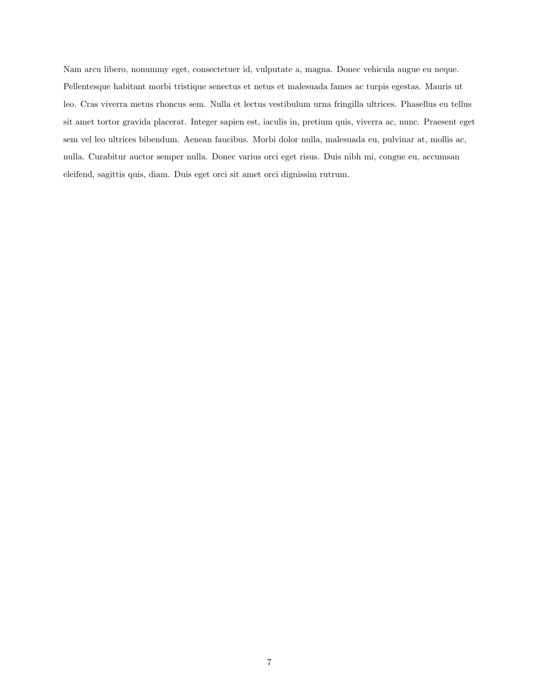Nam arcu libero, nonummy eget, consectetuer id, vulputate a, magna. Donec vehicula augue eu neque. Pellentesque habitant morbi tristique senectus et netus et malesuada fames ac turpis egestas. Mauris ut leo. Cras viverra metus rhoncus sem. Nulla et lectus vestibulum urna fringilla ultrices. Phasellus eu tellus sit amet tortor gravida placerat. Integer sapien est, iaculis in, pretium quis, viverra ac, nunc. Praesent eget sem vel leo ultrices bibendum. Aenean faucibus. Morbi dolor nulla, malesuada eu, pulvinar at, mollis ac, nulla. Curabitur auctor semper nulla. Donec varius orci eget risus. Duis nibh mi, congue eu, accumsan eleifend, sagittis quis, diam. Duis eget orci sit amet orci dignissim rutrum.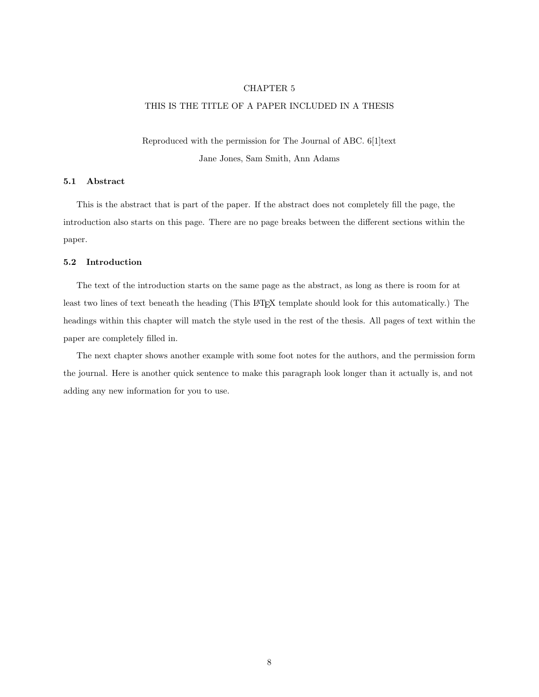#### CHAPTER 5

### <span id="page-19-0"></span>THIS IS THE TITLE OF A PAPER INCLUDED IN A THESIS

Reproduced with the permission for The Journal of ABC. 6[1]text Jane Jones, Sam Smith, Ann Adams

#### <span id="page-19-1"></span>5.1 Abstract

This is the abstract that is part of the paper. If the abstract does not completely fill the page, the introduction also starts on this page. There are no page breaks between the different sections within the paper.

#### <span id="page-19-2"></span>5.2 Introduction

The text of the introduction starts on the same page as the abstract, as long as there is room for at least two lines of text beneath the heading (This LATEX template should look for this automatically.) The headings within this chapter will match the style used in the rest of the thesis. All pages of text within the paper are completely filled in.

The next chapter shows another example with some foot notes for the authors, and the permission form the journal. Here is another quick sentence to make this paragraph look longer than it actually is, and not adding any new information for you to use.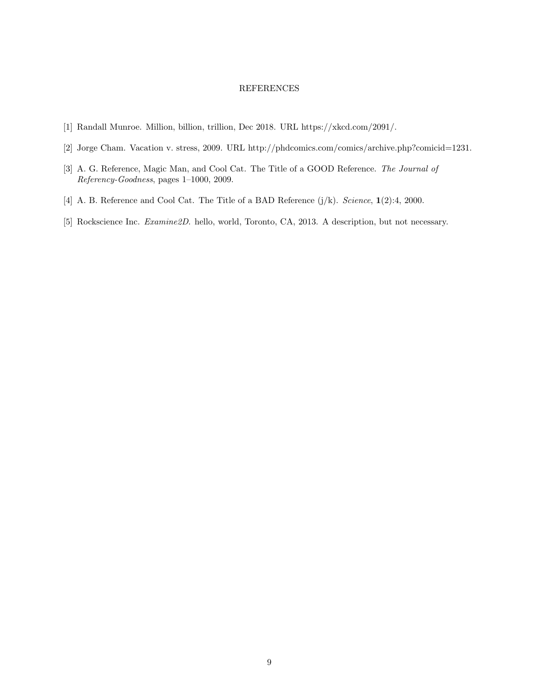#### REFERENCES

- <span id="page-20-1"></span><span id="page-20-0"></span>[1] Randall Munroe. Million, billion, trillion, Dec 2018. URL [https://xkcd.com/2091/.](https://xkcd.com/2091/)
- <span id="page-20-2"></span>[2] Jorge Cham. Vacation v. stress, 2009. URL [http://phdcomics.com/comics/archive.php?comicid=1231.](http://phdcomics.com/comics/archive.php?comicid=1231)
- <span id="page-20-3"></span>[3] A. G. Reference, Magic Man, and Cool Cat. The Title of a GOOD Reference. The Journal of Referency-Goodness, pages 1–1000, 2009.
- [4] A. B. Reference and Cool Cat. The Title of a BAD Reference (j/k). Science, 1(2):4, 2000.
- <span id="page-20-4"></span>[5] Rockscience Inc. Examine2D. hello, world, Toronto, CA, 2013. A description, but not necessary.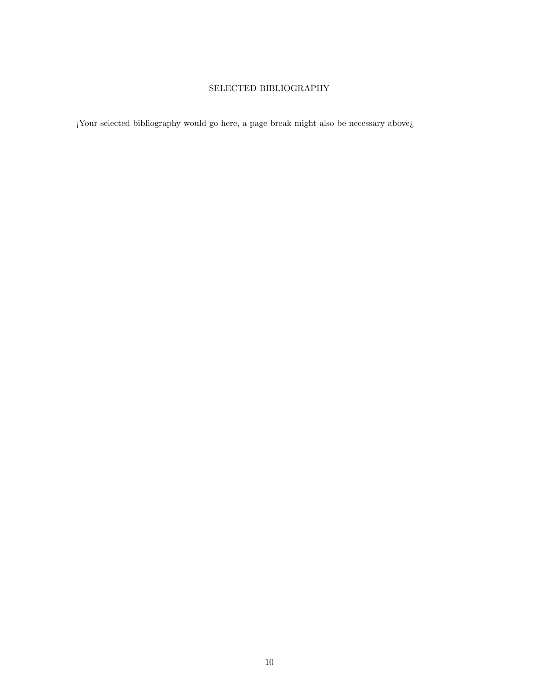# SELECTED BIBLIOGRAPHY

<span id="page-21-0"></span>¡Your selected bibliography would go here, a page break might also be necessary above¿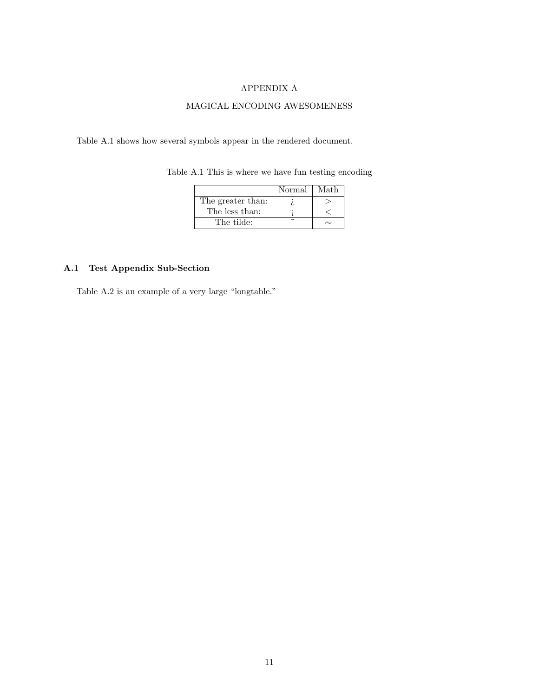### APPENDIX A

# MAGICAL ENCODING AWESOMENESS

<span id="page-22-2"></span><span id="page-22-0"></span>[Table A.1](#page-22-2) shows how several symbols appear in the rendered document.

|                   | Normal | Math |
|-------------------|--------|------|
| The greater than: |        |      |
| The less than:    |        |      |
| The tilde:        |        |      |

Table A.1 This is where we have fun testing encoding

# <span id="page-22-1"></span>A.1 Test Appendix Sub-Section

[Table A.2](#page-23-0) is an example of a very large "longtable."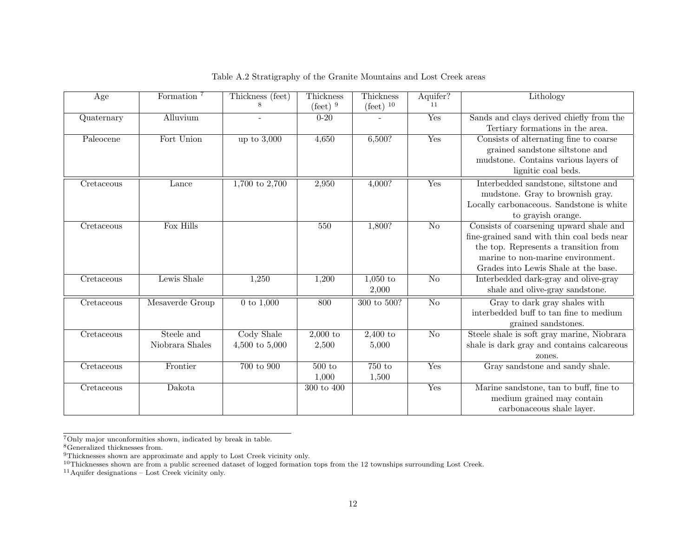| Age        | Formation <sup>7</sup>        | Thickness (feet)<br>8          | Thickness<br>$(\text{feet})$ <sup>9</sup> | Thickness<br>$(\text{feet})$ <sup>10</sup> | Aquifer?<br>11         | Lithology                                                                                                                                                                                                   |
|------------|-------------------------------|--------------------------------|-------------------------------------------|--------------------------------------------|------------------------|-------------------------------------------------------------------------------------------------------------------------------------------------------------------------------------------------------------|
| Quaternary | Alluvium                      |                                | $0 - 20$                                  |                                            | Yes                    | Sands and clays derived chiefly from the<br>Tertiary formations in the area.                                                                                                                                |
| Paleocene  | Fort Union                    | up to $3,000$                  | 4,650                                     | 6,500?                                     | Yes                    | Consists of alternating fine to coarse<br>grained sandstone siltstone and<br>mudstone. Contains various layers of<br>lignitic coal beds.                                                                    |
| Cretaceous | Lance                         | $1,700$ to $2,700$             | 2,950                                     | 4,000?                                     | Yes                    | Interbedded sandstone, siltstone and<br>mudstone. Gray to brownish gray.<br>Locally carbonaceous. Sandstone is white<br>to grayish orange.                                                                  |
| Cretaceous | Fox Hills                     |                                | 550                                       | 1,800?                                     | $\overline{\text{No}}$ | Consists of coarsening upward shale and<br>fine-grained sand with thin coal beds near<br>the top. Represents a transition from<br>marine to non-marine environment.<br>Grades into Lewis Shale at the base. |
| Cretaceous | Lewis Shale                   | 1,250                          | 1,200                                     | $1,050$ to<br>2,000                        | $\overline{No}$        | Interbedded dark-gray and olive-gray<br>shale and olive-gray sandstone.                                                                                                                                     |
| Cretaceous | Mesaverde Group               | 0 to $1,000$                   | 800                                       | 300 to 500?                                | $\overline{No}$        | Gray to dark gray shales with<br>interbedded buff to tan fine to medium<br>grained sandstones.                                                                                                              |
| Cretaceous | Steele and<br>Niobrara Shales | Cody Shale<br>4,500 to $5,000$ | $2,000$ to<br>2,500                       | $2,400$ to<br>5,000                        | $\overline{No}$        | Steele shale is soft gray marine, Niobrara<br>shale is dark gray and contains calcareous<br>zones.                                                                                                          |
| Cretaceous | Frontier                      | 700 to 900                     | 500 to<br>1,000                           | 750 to<br>1,500                            | Yes                    | Gray sandstone and sandy shale.                                                                                                                                                                             |
| Cretaceous | Dakota                        |                                | 300 to 400                                |                                            | Yes                    | Marine sandstone, tan to buff, fine to<br>medium grained may contain<br>carbonaceous shale layer.                                                                                                           |

<span id="page-23-5"></span><span id="page-23-4"></span><span id="page-23-3"></span><span id="page-23-2"></span><span id="page-23-1"></span>Table A.2 Stratigraphy of the Granite Mountains and Lost Creek areas

<sup>7</sup>Only major unconformities shown, indicated by break in table. <sup>8</sup>Generalized thicknesses from.

 $^{9}$ Thicknesses shown are approximate and apply to Lost Creek vicinity only.<br><sup>10</sup>Thicknesses shown are from a public screened dataset of logged formation tops from the 12 townships surrounding Lost Creek.<br><sup>11</sup>Aquifer des

<span id="page-23-0"></span>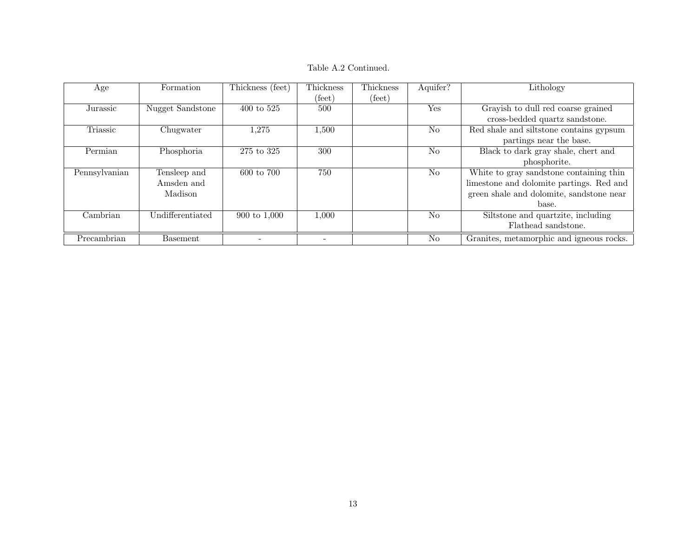Table A.2 Continued.

| Age           | Formation        | Thickness (feet)      | Thickness                | Thickness | Aquifer?       | Lithology                                |
|---------------|------------------|-----------------------|--------------------------|-----------|----------------|------------------------------------------|
|               |                  |                       | (feet)                   | (feet)    |                |                                          |
| Jurassic      | Nugget Sandstone | $400 \text{ to } 525$ | 500                      |           | <b>Yes</b>     | Grayish to dull red coarse grained       |
|               |                  |                       |                          |           |                | cross-bedded quartz sandstone.           |
| Triassic      | Chugwater        | 1,275                 | 1,500                    |           | N <sub>0</sub> | Red shale and siltstone contains gypsum  |
|               |                  |                       |                          |           |                | partings near the base.                  |
| Permian       | Phosphoria       | 275 to 325            | 300                      |           | N <sub>o</sub> | Black to dark gray shale, chert and      |
|               |                  |                       |                          |           |                | phosphorite.                             |
| Pennsylvanian | Tensleep and     | 600 to 700            | 750                      |           | N <sub>o</sub> | White to gray sandstone containing thin  |
|               | Amsden and       |                       |                          |           |                | limestone and dolomite partings. Red and |
|               | Madison          |                       |                          |           |                | green shale and dolomite, sandstone near |
|               |                  |                       |                          |           |                | base.                                    |
| Cambrian      | Undifferentiated | 900 to 1,000          | 1,000                    |           | N <sub>0</sub> | Siltstone and quartzite, including       |
|               |                  |                       |                          |           |                | Flathead sandstone.                      |
| Precambrian   | <b>Basement</b>  |                       | $\overline{\phantom{a}}$ |           | N <sub>o</sub> | Granites, metamorphic and igneous rocks. |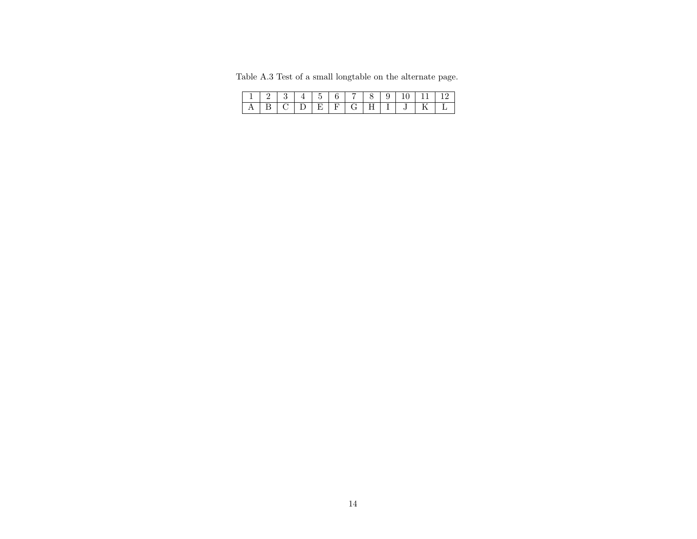Table A.3 Test of <sup>a</sup> small longtable on the alternate page.

<span id="page-25-0"></span>

|  |  |   |                   | - 9 | 10- | -11 - | $\perp$ $\frac{1}{2}$ |
|--|--|---|-------------------|-----|-----|-------|-----------------------|
|  |  | E | $F \mid G \mid H$ |     |     |       |                       |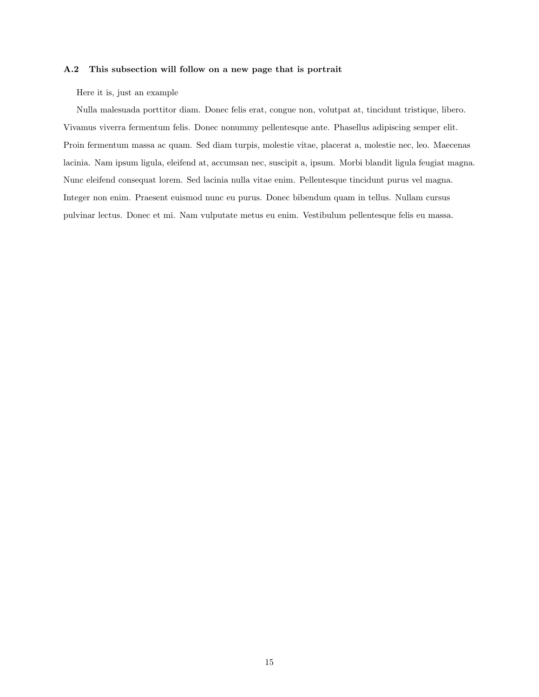#### <span id="page-26-0"></span>A.2 This subsection will follow on a new page that is portrait

Here it is, just an example

Nulla malesuada porttitor diam. Donec felis erat, congue non, volutpat at, tincidunt tristique, libero. Vivamus viverra fermentum felis. Donec nonummy pellentesque ante. Phasellus adipiscing semper elit. Proin fermentum massa ac quam. Sed diam turpis, molestie vitae, placerat a, molestie nec, leo. Maecenas lacinia. Nam ipsum ligula, eleifend at, accumsan nec, suscipit a, ipsum. Morbi blandit ligula feugiat magna. Nunc eleifend consequat lorem. Sed lacinia nulla vitae enim. Pellentesque tincidunt purus vel magna. Integer non enim. Praesent euismod nunc eu purus. Donec bibendum quam in tellus. Nullam cursus pulvinar lectus. Donec et mi. Nam vulputate metus eu enim. Vestibulum pellentesque felis eu massa.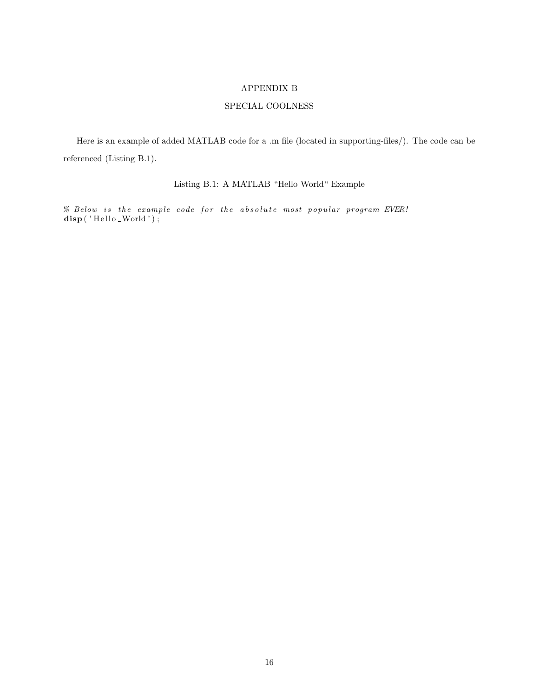#### APPENDIX B

### SPECIAL COOLNESS

<span id="page-27-1"></span><span id="page-27-0"></span>Here is an example of added MATLAB code for a .m file (located in supporting-files/). The code can be referenced [\(Listing B.1\)](#page-27-1).

# Listing B.1: A MATLAB "Hello World" Example

 $%$  Below is the example code for the absolute most popular program EVER! disp ('Hello \_World');